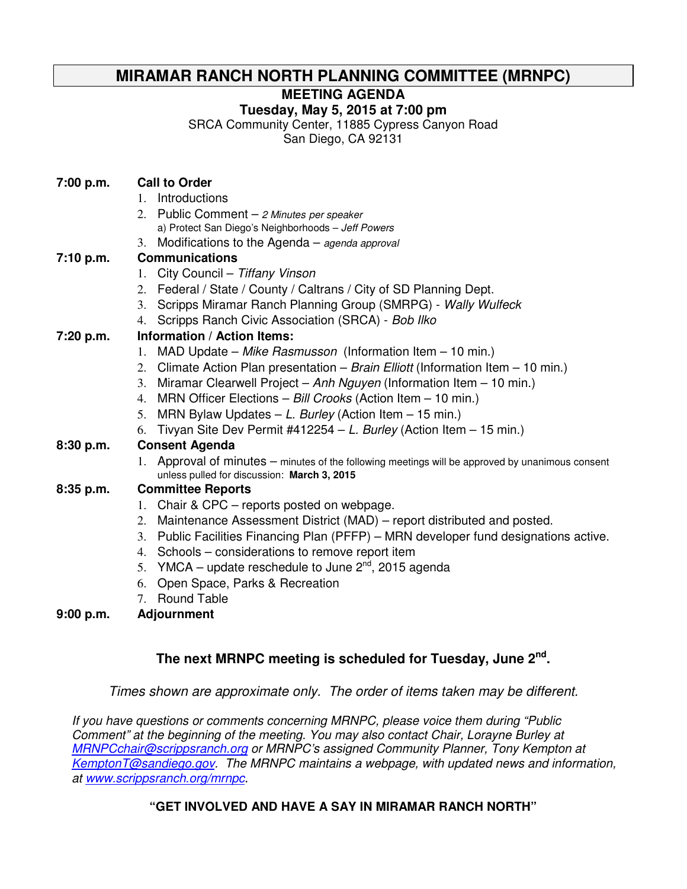# **MIRAMAR RANCH NORTH PLANNING COMMITTEE (MRNPC)**

## **MEETING AGENDA**

## **Tuesday, May 5, 2015 at 7:00 pm**

SRCA Community Center, 11885 Cypress Canyon Road

San Diego, CA 92131

## **7:00 p.m. Call to Order**

- 1. Introductions
- 2. Public Comment  $-$  2 Minutes per speaker a) Protect San Diego's Neighborhoods – Jeff Powers
- 3. Modifications to the Agenda agenda approval

## **7:10 p.m. Communications**

- 1. City Council Tiffany Vinson
- 2. Federal / State / County / Caltrans / City of SD Planning Dept.
- 3. Scripps Miramar Ranch Planning Group (SMRPG) Wally Wulfeck
- 4. Scripps Ranch Civic Association (SRCA) Bob Ilko

## **7:20 p.m. Information / Action Items:**

- 1. MAD Update Mike Rasmusson (Information Item 10 min.)
- 2. Climate Action Plan presentation Brain Elliott (Information Item 10 min.)
- 3. Miramar Clearwell Project Anh Nguyen (Information Item 10 min.)
- 4. MRN Officer Elections Bill Crooks (Action Item 10 min.)
- 5. MRN Bylaw Updates  $L$ . Burley (Action Item  $15$  min.)
- 6. Tivyan Site Dev Permit #412254 L. Burley (Action Item 15 min.)

## **8:30 p.m. Consent Agenda**

1. Approval of minutes – minutes of the following meetings will be approved by unanimous consent unless pulled for discussion: **March 3, 2015**

## **8:35 p.m. Committee Reports**

- 1. Chair & CPC reports posted on webpage.
- 2. Maintenance Assessment District (MAD) report distributed and posted.
- 3. Public Facilities Financing Plan (PFFP) MRN developer fund designations active.
- 4. Schools considerations to remove report item
- 5. YMCA update reschedule to June  $2^{nd}$ , 2015 agenda
- 6. Open Space, Parks & Recreation
- 7. Round Table

## **9:00 p.m. Adjournment**

# **The next MRNPC meeting is scheduled for Tuesday, June 2nd .**

Times shown are approximate only. The order of items taken may be different.

If you have questions or comments concerning MRNPC, please voice them during "Public Comment" at the beginning of the meeting. You may also contact Chair, Lorayne Burley at MRNPCchair@scrippsranch.org or MRNPC's assigned Community Planner, Tony Kempton at KemptonT@sandiego.gov. The MRNPC maintains a webpage, with updated news and information, at www.scrippsranch.org/mrnpc.

# **"GET INVOLVED AND HAVE A SAY IN MIRAMAR RANCH NORTH"**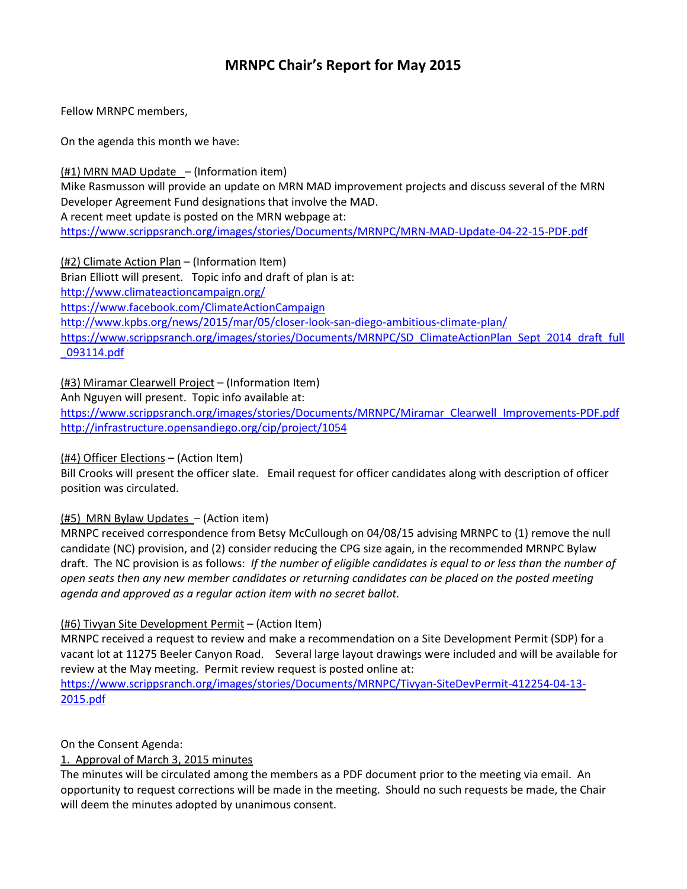# MRNPC Chair's Report for May 2015

Fellow MRNPC members,

On the agenda this month we have:

(#1) MRN MAD Update – (Information item)

Mike Rasmusson will provide an update on MRN MAD improvement projects and discuss several of the MRN Developer Agreement Fund designations that involve the MAD.

A recent meet update is posted on the MRN webpage at:

https://www.scrippsranch.org/images/stories/Documents/MRNPC/MRN-MAD-Update-04-22-15-PDF.pdf

(#2) Climate Action Plan – (Information Item)

Brian Elliott will present. Topic info and draft of plan is at: http://www.climateactioncampaign.org/ https://www.facebook.com/ClimateActionCampaign http://www.kpbs.org/news/2015/mar/05/closer-look-san-diego-ambitious-climate-plan/ https://www.scrippsranch.org/images/stories/Documents/MRNPC/SD\_ClimateActionPlan\_Sept\_2014\_draft\_full \_093114.pdf

(#3) Miramar Clearwell Project – (Information Item)

Anh Nguyen will present. Topic info available at:

https://www.scrippsranch.org/images/stories/Documents/MRNPC/Miramar\_Clearwell\_Improvements-PDF.pdf http://infrastructure.opensandiego.org/cip/project/1054

### (#4) Officer Elections – (Action Item)

Bill Crooks will present the officer slate. Email request for officer candidates along with description of officer position was circulated.

#### (#5) MRN Bylaw Updates – (Action item)

MRNPC received correspondence from Betsy McCullough on 04/08/15 advising MRNPC to (1) remove the null candidate (NC) provision, and (2) consider reducing the CPG size again, in the recommended MRNPC Bylaw draft. The NC provision is as follows: If the number of eligible candidates is equal to or less than the number of open seats then any new member candidates or returning candidates can be placed on the posted meeting agenda and approved as a regular action item with no secret ballot.

### (#6) Tivyan Site Development Permit – (Action Item)

MRNPC received a request to review and make a recommendation on a Site Development Permit (SDP) for a vacant lot at 11275 Beeler Canyon Road. Several large layout drawings were included and will be available for review at the May meeting. Permit review request is posted online at:

https://www.scrippsranch.org/images/stories/Documents/MRNPC/Tivyan-SiteDevPermit-412254-04-13- 2015.pdf

On the Consent Agenda:

#### 1. Approval of March 3, 2015 minutes

The minutes will be circulated among the members as a PDF document prior to the meeting via email. An opportunity to request corrections will be made in the meeting. Should no such requests be made, the Chair will deem the minutes adopted by unanimous consent.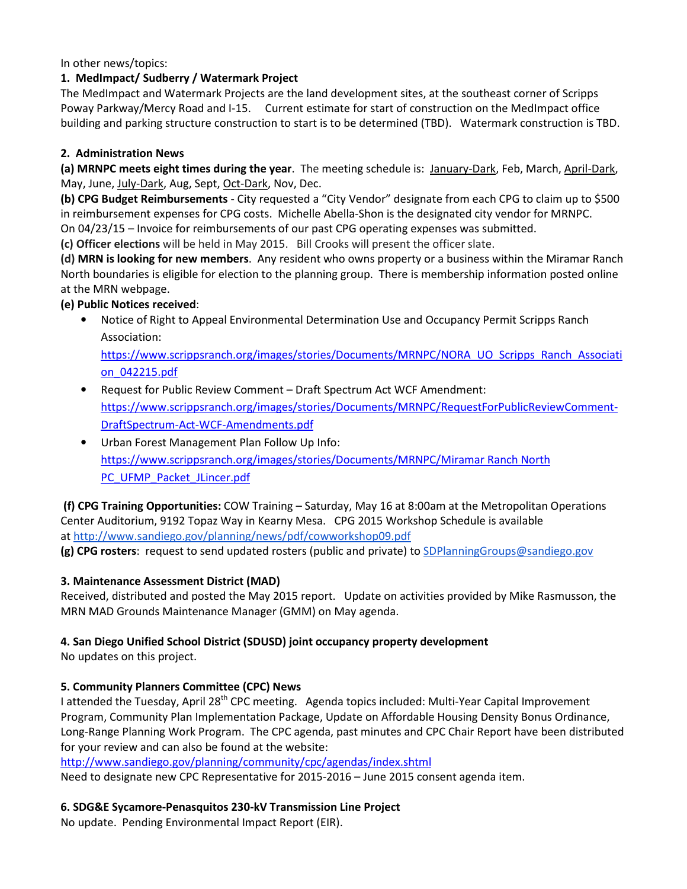In other news/topics:

### 1. MedImpact/ Sudberry / Watermark Project

The MedImpact and Watermark Projects are the land development sites, at the southeast corner of Scripps Poway Parkway/Mercy Road and I-15. Current estimate for start of construction on the MedImpact office building and parking structure construction to start is to be determined (TBD). Watermark construction is TBD.

### 2. Administration News

(a) MRNPC meets eight times during the year. The meeting schedule is: January-Dark, Feb, March, April-Dark, May, June, July-Dark, Aug, Sept, Oct-Dark, Nov, Dec.

(b) CPG Budget Reimbursements - City requested a "City Vendor" designate from each CPG to claim up to \$500 in reimbursement expenses for CPG costs. Michelle Abella-Shon is the designated city vendor for MRNPC.

On 04/23/15 – Invoice for reimbursements of our past CPG operating expenses was submitted.

(c) Officer elections will be held in May 2015. Bill Crooks will present the officer slate.

(d) MRN is looking for new members. Any resident who owns property or a business within the Miramar Ranch North boundaries is eligible for election to the planning group. There is membership information posted online at the MRN webpage.

### (e) Public Notices received:

• Notice of Right to Appeal Environmental Determination Use and Occupancy Permit Scripps Ranch Association:

https://www.scrippsranch.org/images/stories/Documents/MRNPC/NORA\_UO\_Scripps\_Ranch\_Associati on\_042215.pdf

- Request for Public Review Comment Draft Spectrum Act WCF Amendment: https://www.scrippsranch.org/images/stories/Documents/MRNPC/RequestForPublicReviewComment-DraftSpectrum-Act-WCF-Amendments.pdf
- Urban Forest Management Plan Follow Up Info: https://www.scrippsranch.org/images/stories/Documents/MRNPC/Miramar Ranch North PC\_UFMP\_Packet\_JLincer.pdf

 (f) CPG Training Opportunities: COW Training – Saturday, May 16 at 8:00am at the Metropolitan Operations Center Auditorium, 9192 Topaz Way in Kearny Mesa. CPG 2015 Workshop Schedule is available at http://www.sandiego.gov/planning/news/pdf/cowworkshop09.pdf

(g) CPG rosters: request to send updated rosters (public and private) to SDPlanningGroups@sandiego.gov

## 3. Maintenance Assessment District (MAD)

Received, distributed and posted the May 2015 report. Update on activities provided by Mike Rasmusson, the MRN MAD Grounds Maintenance Manager (GMM) on May agenda.

## 4. San Diego Unified School District (SDUSD) joint occupancy property development

No updates on this project.

## 5. Community Planners Committee (CPC) News

I attended the Tuesday, April 28<sup>th</sup> CPC meeting. Agenda topics included: Multi-Year Capital Improvement Program, Community Plan Implementation Package, Update on Affordable Housing Density Bonus Ordinance, Long-Range Planning Work Program. The CPC agenda, past minutes and CPC Chair Report have been distributed for your review and can also be found at the website:

http://www.sandiego.gov/planning/community/cpc/agendas/index.shtml Need to designate new CPC Representative for 2015-2016 – June 2015 consent agenda item.

## 6. SDG&E Sycamore-Penasquitos 230-kV Transmission Line Project

No update. Pending Environmental Impact Report (EIR).